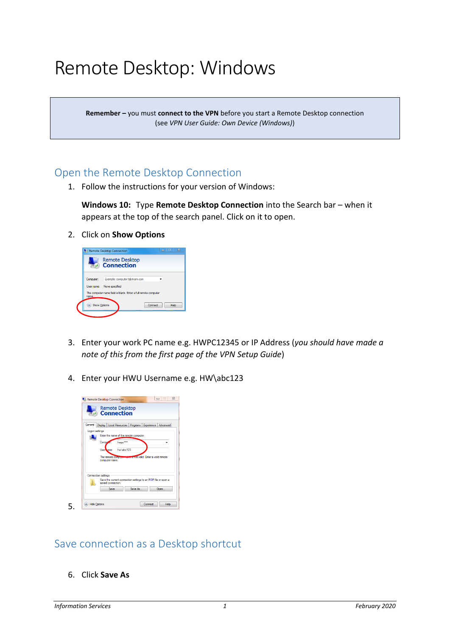# Remote Desktop: Windows

**Remember –** you must **connect to the VPN** before you start a Remote Desktop connection (see *VPN User Guide: Own Device (Windows)*)

#### Open the Remote Desktop Connection

1. Follow the instructions for your version of Windows:

**Windows 10:** Type **Remote Desktop Connection** into the Search bar – when it appears at the top of the search panel. Click on it to open.

2. Click on **Show Options**



- 3. Enter your work PC name e.g. HWPC12345 or IP Address (*you should have made a note of this from the first page of the VPN Setup Guide*)
- 4. Enter your HWU Username e.g. HW\abc123



### Save connection as a Desktop shortcut

6. Click **Save As**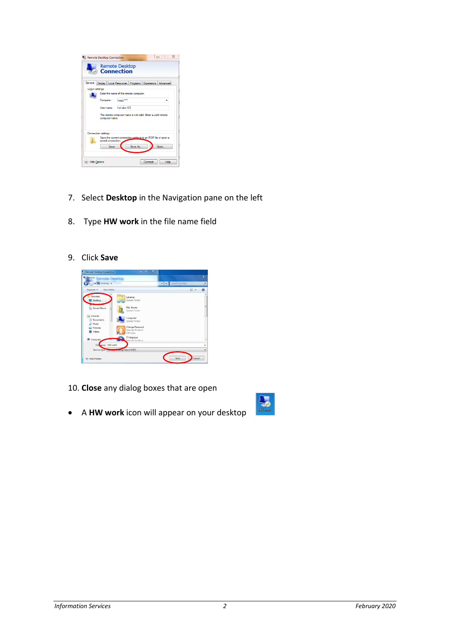|                | Remote Desktop Connection                                                          |           |         |         |      | $\Sigma$ |
|----------------|------------------------------------------------------------------------------------|-----------|---------|---------|------|----------|
|                | Remote Desktop<br><b>Connection</b>                                                |           |         |         |      |          |
| General        | Display   Local Resources   Programs   Experience   Advanced                       |           |         |         |      |          |
| Logon settings |                                                                                    |           |         |         |      |          |
|                | Enter the name of the remote computer.                                             |           |         |         |      |          |
|                | Computer:                                                                          | hwoc'     |         |         |      |          |
|                | User name:                                                                         | hw\abc123 |         |         |      |          |
|                | The remote computer name is not valid. Enter a valid remote<br>computer name.      |           |         |         |      |          |
|                | <b>Connection settings</b>                                                         |           |         |         |      |          |
|                | Save the current connection settings to an RDP file or open a<br>saved connection. |           |         |         |      |          |
|                | Save                                                                               |           | Save As |         | Open |          |
|                | <b>Hide Options</b>                                                                |           |         | Connect | Help |          |

- 7. Select **Desktop** in the Navigation pane on the left
- 8. Type **HW work** in the file name field
- 9. Click **Save**



- 10. **Close** any dialog boxes that are open
- A **HW work** icon will appear on your desktop